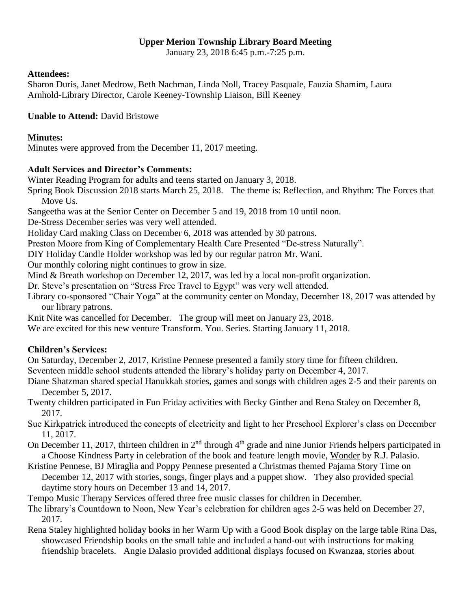#### **Upper Merion Township Library Board Meeting**

January 23, 2018 6:45 p.m.-7:25 p.m.

#### **Attendees:**

Sharon Duris, Janet Medrow, Beth Nachman, Linda Noll, Tracey Pasquale, Fauzia Shamim, Laura Arnhold-Library Director, Carole Keeney-Township Liaison, Bill Keeney

**Unable to Attend:** David Bristowe

#### **Minutes:**

Minutes were approved from the December 11, 2017 meeting.

# **Adult Services and Director's Comments:**

Winter Reading Program for adults and teens started on January 3, 2018.

Spring Book Discussion 2018 starts March 25, 2018. The theme is: Reflection, and Rhythm: The Forces that Move Us.

Sangeetha was at the Senior Center on December 5 and 19, 2018 from 10 until noon.

De-Stress December series was very well attended.

Holiday Card making Class on December 6, 2018 was attended by 30 patrons.

Preston Moore from King of Complementary Health Care Presented "De-stress Naturally".

DIY Holiday Candle Holder workshop was led by our regular patron Mr. Wani.

Our monthly coloring night continues to grow in size.

Mind & Breath workshop on December 12, 2017, was led by a local non-profit organization.

Dr. Steve's presentation on "Stress Free Travel to Egypt" was very well attended.

Library co-sponsored "Chair Yoga" at the community center on Monday, December 18, 2017 was attended by our library patrons.

Knit Nite was cancelled for December. The group will meet on January 23, 2018.

We are excited for this new venture Transform. You. Series. Starting January 11, 2018.

# **Children's Services:**

On Saturday, December 2, 2017, Kristine Pennese presented a family story time for fifteen children. Seventeen middle school students attended the library's holiday party on December 4, 2017.

Diane Shatzman shared special Hanukkah stories, games and songs with children ages 2-5 and their parents on

- December 5, 2017.
- Twenty children participated in Fun Friday activities with Becky Ginther and Rena Staley on December 8, 2017.
- Sue Kirkpatrick introduced the concepts of electricity and light to her Preschool Explorer's class on December 11, 2017.
- On December 11, 2017, thirteen children in 2<sup>nd</sup> through 4<sup>th</sup> grade and nine Junior Friends helpers participated in a Choose Kindness Party in celebration of the book and feature length movie, Wonder by R.J. Palasio.
- Kristine Pennese, BJ Miraglia and Poppy Pennese presented a Christmas themed Pajama Story Time on December 12, 2017 with stories, songs, finger plays and a puppet show. They also provided special daytime story hours on December 13 and 14, 2017.

Tempo Music Therapy Services offered three free music classes for children in December.

The library's Countdown to Noon, New Year's celebration for children ages 2-5 was held on December 27, 2017.

Rena Staley highlighted holiday books in her Warm Up with a Good Book display on the large table Rina Das, showcased Friendship books on the small table and included a hand-out with instructions for making friendship bracelets. Angie Dalasio provided additional displays focused on Kwanzaa, stories about